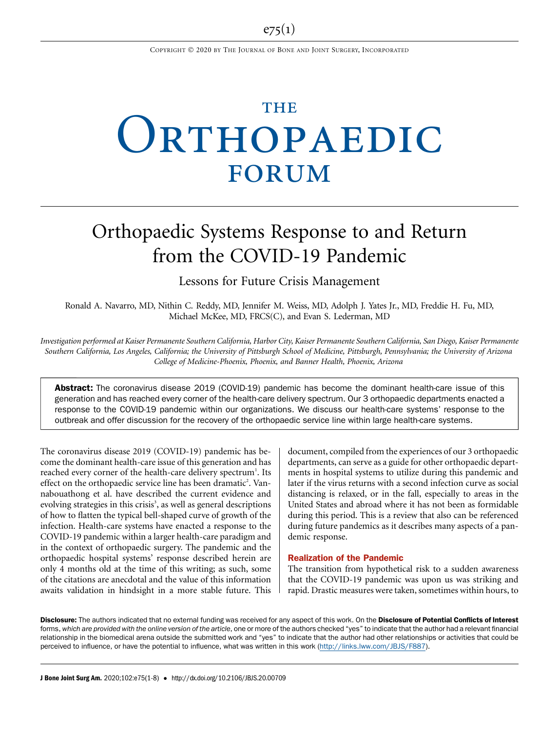# **THE** ORTHOPAEDIC FORUM

# Orthopaedic Systems Response to and Return from the COVID-19 Pandemic

Lessons for Future Crisis Management

Ronald A. Navarro, MD, Nithin C. Reddy, MD, Jennifer M. Weiss, MD, Adolph J. Yates Jr., MD, Freddie H. Fu, MD, Michael McKee, MD, FRCS(C), and Evan S. Lederman, MD

Investigation performed at Kaiser Permanente Southern California, Harbor City, Kaiser Permanente Southern California, San Diego, Kaiser Permanente Southern California, Los Angeles, California; the University of Pittsburgh School of Medicine, Pittsburgh, Pennsylvania; the University of Arizona College of Medicine-Phoenix, Phoenix, and Banner Health, Phoenix, Arizona

Abstract: The coronavirus disease 2019 (COVID-19) pandemic has become the dominant health-care issue of this generation and has reached every corner of the health-care delivery spectrum. Our 3 orthopaedic departments enacted a response to the COVID-19 pandemic within our organizations. We discuss our health-care systems' response to the outbreak and offer discussion for the recovery of the orthopaedic service line within large health-care systems.

The coronavirus disease 2019 (COVID-19) pandemic has become the dominant health-care issue of this generation and has reached every corner of the health-care delivery spectrum<sup>1</sup>. Its effect on the orthopaedic service line has been dramatic<sup>2</sup>. Vannabouathong et al. have described the current evidence and evolving strategies in this crisis<sup>3</sup>, as well as general descriptions of how to flatten the typical bell-shaped curve of growth of the infection. Health-care systems have enacted a response to the COVID-19 pandemic within a larger health-care paradigm and in the context of orthopaedic surgery. The pandemic and the orthopaedic hospital systems' response described herein are only 4 months old at the time of this writing; as such, some of the citations are anecdotal and the value of this information awaits validation in hindsight in a more stable future. This

document, compiled from the experiences of our 3 orthopaedic departments, can serve as a guide for other orthopaedic departments in hospital systems to utilize during this pandemic and later if the virus returns with a second infection curve as social distancing is relaxed, or in the fall, especially to areas in the United States and abroad where it has not been as formidable during this period. This is a review that also can be referenced during future pandemics as it describes many aspects of a pandemic response.

# Realization of the Pandemic

The transition from hypothetical risk to a sudden awareness that the COVID-19 pandemic was upon us was striking and rapid. Drastic measures were taken, sometimes within hours, to

Disclosure: The authors indicated that no external funding was received for any aspect of this work. On the Disclosure of Potential Conflicts of Interest forms, which are provided with the online version of the article, one or more of the authors checked "yes" to indicate that the author had a relevant financial relationship in the biomedical arena outside the submitted work and "yes" to indicate that the author had other relationships or activities that could be perceived to influence, or have the potential to influence, what was written in this work [\(http://links.lww.com/JBJS/F887\)](http://links.lww.com/JBJS/F887).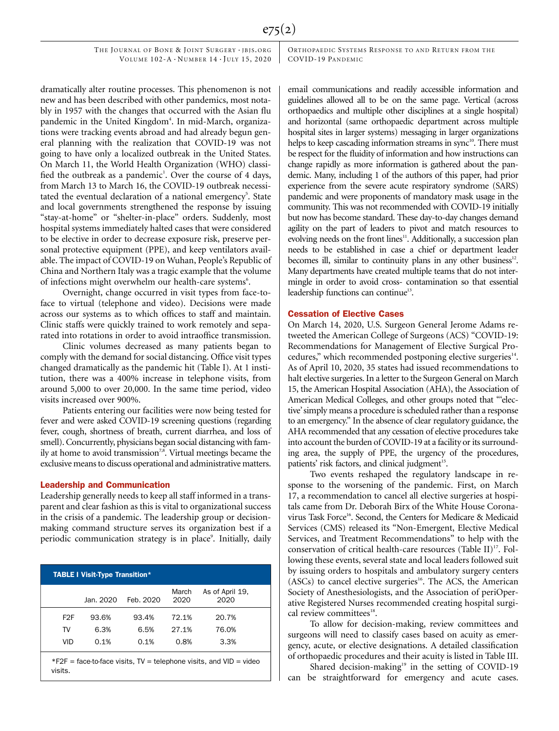THE JOURNAL OF BONE & JOINT SURGERY · JBJS.ORG VOLUME  $102-A \cdot N$ UMBER  $14 \cdot$ JULY 15, 2020 ORTHOPAEDIC SYSTEMS RESPONSE TO AND RETURN FROM THE COVID-19 PANDEMIC

dramatically alter routine processes. This phenomenon is not new and has been described with other pandemics, most notably in 1957 with the changes that occurred with the Asian flu pandemic in the United Kingdom<sup>4</sup>. In mid-March, organizations were tracking events abroad and had already begun general planning with the realization that COVID-19 was not going to have only a localized outbreak in the United States. On March 11, the World Health Organization (WHO) classified the outbreak as a pandemic<sup>1</sup>. Over the course of 4 days, from March 13 to March 16, the COVID-19 outbreak necessitated the eventual declaration of a national emergency<sup>5</sup>. State and local governments strengthened the response by issuing "stay-at-home" or "shelter-in-place" orders. Suddenly, most hospital systems immediately halted cases that were considered to be elective in order to decrease exposure risk, preserve personal protective equipment (PPE), and keep ventilators available. The impact of COVID-19 on Wuhan, People's Republic of China and Northern Italy was a tragic example that the volume of infections might overwhelm our health-care systems<sup>6</sup>.

Overnight, change occurred in visit types from face-toface to virtual (telephone and video). Decisions were made across our systems as to which offices to staff and maintain. Clinic staffs were quickly trained to work remotely and separated into rotations in order to avoid intraoffice transmission.

Clinic volumes decreased as many patients began to comply with the demand for social distancing. Office visit types changed dramatically as the pandemic hit (Table I). At 1 institution, there was a 400% increase in telephone visits, from around 5,000 to over 20,000. In the same time period, video visits increased over 900%.

Patients entering our facilities were now being tested for fever and were asked COVID-19 screening questions (regarding fever, cough, shortness of breath, current diarrhea, and loss of smell). Concurrently, physicians began social distancing with family at home to avoid transmission<sup>7,8</sup>. Virtual meetings became the exclusive means to discuss operational and administrative matters.

#### Leadership and Communication

Leadership generally needs to keep all staff informed in a transparent and clear fashion as this is vital to organizational success in the crisis of a pandemic. The leadership group or decisionmaking command structure serves its organization best if a periodic communication strategy is in place<sup>9</sup>. Initially, daily

|                  | <b>TABLE I Visit-Type Transition*</b> |           |               |                                                                      |
|------------------|---------------------------------------|-----------|---------------|----------------------------------------------------------------------|
|                  | Jan. 2020                             | Feb. 2020 | March<br>2020 | As of April 19,<br>2020                                              |
| F <sub>2</sub> F | 93.6%                                 | 93.4%     | 72.1%         | 20.7%                                                                |
| TV               | 6.3%                                  | 6.5%      | 27.1%         | 76.0%                                                                |
| VID              | 0.1%                                  | 0.1%      | 0.8%          | 3.3%                                                                 |
| visits.          |                                       |           |               | $*F2F$ = face-to-face visits, TV = telephone visits, and VID = video |

email communications and readily accessible information and guidelines allowed all to be on the same page. Vertical (across orthopaedics and multiple other disciplines at a single hospital) and horizontal (same orthopaedic department across multiple hospital sites in larger systems) messaging in larger organizations helps to keep cascading information streams in sync<sup>10</sup>. There must be respect for the fluidity of information and how instructions can change rapidly as more information is gathered about the pandemic. Many, including 1 of the authors of this paper, had prior experience from the severe acute respiratory syndrome (SARS) pandemic and were proponents of mandatory mask usage in the community. This was not recommended with COVID-19 initially but now has become standard. These day-to-day changes demand agility on the part of leaders to pivot and match resources to evolving needs on the front lines<sup>11</sup>. Additionally, a succession plan needs to be established in case a chief or department leader becomes ill, similar to continuity plans in any other business $12$ . Many departments have created multiple teams that do not intermingle in order to avoid cross- contamination so that essential leadership functions can continue<sup>13</sup>.

#### Cessation of Elective Cases

On March 14, 2020, U.S. Surgeon General Jerome Adams retweeted the American College of Surgeons (ACS) "COVID-19: Recommendations for Management of Elective Surgical Procedures," which recommended postponing elective surgeries<sup>14</sup>. As of April 10, 2020, 35 states had issued recommendations to halt elective surgeries. In a letter to the Surgeon General on March 15, the American Hospital Association (AHA), the Association of American Medical Colleges, and other groups noted that "'elective'simply means a procedure is scheduled rather than a response to an emergency." In the absence of clear regulatory guidance, the AHA recommended that any cessation of elective procedures take into account the burden of COVID-19 at a facility or its surrounding area, the supply of PPE, the urgency of the procedures, patients' risk factors, and clinical judgment<sup>15</sup>.

Two events reshaped the regulatory landscape in response to the worsening of the pandemic. First, on March 17, a recommendation to cancel all elective surgeries at hospitals came from Dr. Deborah Birx of the White House Coronavirus Task Force<sup>16</sup>. Second, the Centers for Medicare & Medicaid Services (CMS) released its "Non-Emergent, Elective Medical Services, and Treatment Recommendations" to help with the conservation of critical health-care resources (Table II) $^{17}$ . Following these events, several state and local leaders followed suit by issuing orders to hospitals and ambulatory surgery centers  $(ASCs)$  to cancel elective surgeries<sup>16</sup>. The ACS, the American Society of Anesthesiologists, and the Association of periOperative Registered Nurses recommended creating hospital surgical review committees<sup>18</sup>.

To allow for decision-making, review committees and surgeons will need to classify cases based on acuity as emergency, acute, or elective designations. A detailed classification of orthopaedic procedures and their acuity is listed in Table III.

Shared decision-making<sup>19</sup> in the setting of COVID-19 can be straightforward for emergency and acute cases.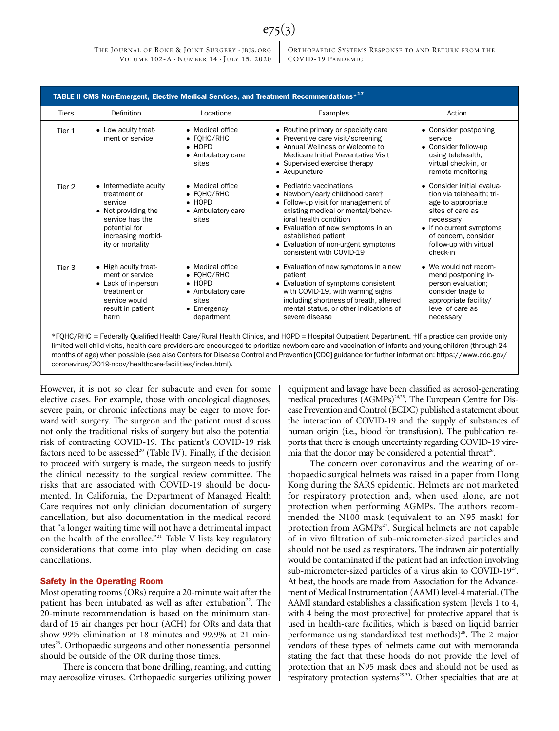THE JOURNAL OF BONE & JOINT SURGERY · JBJS.ORG VOLUME  $102-A \cdot N$ UMBER  $14 \cdot$ JULY 15, 2020 ORTHOPAEDIC SYSTEMS RESPONSE TO AND RETURN FROM THE COVID-19 PANDEMIC

|                   | TABLE II CMS Non-Emergent, Elective Medical Services, and Treatment Recommendations* <sup>17</sup>                                                    |                                                                                                                     |                                                                                                                                                                                                                                                                                                   |                                                                                                                                                                                                          |
|-------------------|-------------------------------------------------------------------------------------------------------------------------------------------------------|---------------------------------------------------------------------------------------------------------------------|---------------------------------------------------------------------------------------------------------------------------------------------------------------------------------------------------------------------------------------------------------------------------------------------------|----------------------------------------------------------------------------------------------------------------------------------------------------------------------------------------------------------|
| <b>Tiers</b>      | Definition                                                                                                                                            | Locations                                                                                                           | Examples                                                                                                                                                                                                                                                                                          | Action                                                                                                                                                                                                   |
| Tier 1            | • Low acuity treat-<br>ment or service                                                                                                                | • Medical office<br>$\bullet$ FOHC/RHC<br>$\bullet$ HOPD<br>• Ambulatory care<br>sites                              | • Routine primary or specialty care<br>• Preventive care visit/screening<br>• Annual Wellness or Welcome to<br>Medicare Initial Preventative Visit<br>• Supervised exercise therapy<br>• Acupuncture                                                                                              | • Consider postponing<br>service<br>• Consider follow-up<br>using telehealth,<br>virtual check-in, or<br>remote monitoring                                                                               |
| Tier <sub>2</sub> | • Intermediate acuity<br>treatment or<br>service<br>• Not providing the<br>service has the<br>potential for<br>increasing morbid-<br>ity or mortality | • Medical office<br>$\bullet$ FOHC/RHC<br>$\bullet$ HOPD<br>• Ambulatory care<br>sites                              | • Pediatric vaccinations<br>• Newborn/early childhood caret<br>• Follow-up visit for management of<br>existing medical or mental/behav-<br>joral health condition<br>• Evaluation of new symptoms in an<br>established patient<br>• Evaluation of non-urgent symptoms<br>consistent with COVID-19 | • Consider initial evalua-<br>tion via telehealth; tri-<br>age to appropriate<br>sites of care as<br>necessary<br>• If no current symptoms<br>of concern, consider<br>follow-up with virtual<br>check-in |
| Tier <sub>3</sub> | • High acuity treat-<br>ment or service<br>• Lack of in-person<br>treatment or<br>service would<br>result in patient<br>harm                          | • Medical office<br>$\bullet$ FOHC/RHC<br>$\bullet$ HOPD<br>• Ambulatory care<br>sites<br>• Emergency<br>department | • Evaluation of new symptoms in a new<br>patient<br>• Evaluation of symptoms consistent<br>with COVID-19, with warning signs<br>including shortness of breath, altered<br>mental status, or other indications of<br>severe disease                                                                | • We would not recom-<br>mend postponing in-<br>person evaluation;<br>consider triage to<br>appropriate facility/<br>level of care as<br>necessary                                                       |

e75(3)

months of age) when possible (see also Centers for Disease Control and Prevention [CDC] guidance for further information: [https://www.cdc.gov/](https://www.cdc.gov/coronavirus/2019-ncov/healthcare-facilities/index.html) [coronavirus/2019-ncov/healthcare-facilities/index.html\)](https://www.cdc.gov/coronavirus/2019-ncov/healthcare-facilities/index.html).

However, it is not so clear for subacute and even for some elective cases. For example, those with oncological diagnoses, severe pain, or chronic infections may be eager to move forward with surgery. The surgeon and the patient must discuss not only the traditional risks of surgery but also the potential risk of contracting COVID-19. The patient's COVID-19 risk factors need to be assessed<sup>20</sup> (Table IV). Finally, if the decision to proceed with surgery is made, the surgeon needs to justify the clinical necessity to the surgical review committee. The risks that are associated with COVID-19 should be documented. In California, the Department of Managed Health Care requires not only clinician documentation of surgery cancellation, but also documentation in the medical record that "a longer waiting time will not have a detrimental impact on the health of the enrollee."<sup>21</sup> Table V lists key regulatory considerations that come into play when deciding on case cancellations.

## Safety in the Operating Room

Most operating rooms (ORs) require a 20-minute wait after the patient has been intubated as well as after extubation<sup>22</sup>. The 20-minute recommendation is based on the minimum standard of 15 air changes per hour (ACH) for ORs and data that show 99% elimination at 18 minutes and 99.9% at 21 minutes<sup>23</sup>. Orthopaedic surgeons and other nonessential personnel should be outside of the OR during those times.

There is concern that bone drilling, reaming, and cutting may aerosolize viruses. Orthopaedic surgeries utilizing power equipment and lavage have been classified as aerosol-generating medical procedures (AGMPs)<sup>24,25</sup>. The European Centre for Disease Prevention and Control (ECDC) published a statement about the interaction of COVID-19 and the supply of substances of human origin (i.e., blood for transfusion). The publication reports that there is enough uncertainty regarding COVID-19 viremia that the donor may be considered a potential threat<sup>26</sup>.

The concern over coronavirus and the wearing of orthopaedic surgical helmets was raised in a paper from Hong Kong during the SARS epidemic. Helmets are not marketed for respiratory protection and, when used alone, are not protection when performing AGMPs. The authors recommended the N100 mask (equivalent to an N95 mask) for protection from AGMPs<sup>27</sup>. Surgical helmets are not capable of in vivo filtration of sub-micrometer-sized particles and should not be used as respirators. The indrawn air potentially would be contaminated if the patient had an infection involving sub-micrometer-sized particles of a virus akin to COVID-19<sup>27</sup>. At best, the hoods are made from Association for the Advancement of Medical Instrumentation (AAMI) level-4 material. (The AAMI standard establishes a classification system [levels 1 to 4, with 4 being the most protective] for protective apparel that is used in health-care facilities, which is based on liquid barrier performance using standardized test methods)<sup>28</sup>. The 2 major vendors of these types of helmets came out with memoranda stating the fact that these hoods do not provide the level of protection that an N95 mask does and should not be used as respiratory protection systems<sup>29,30</sup>. Other specialties that are at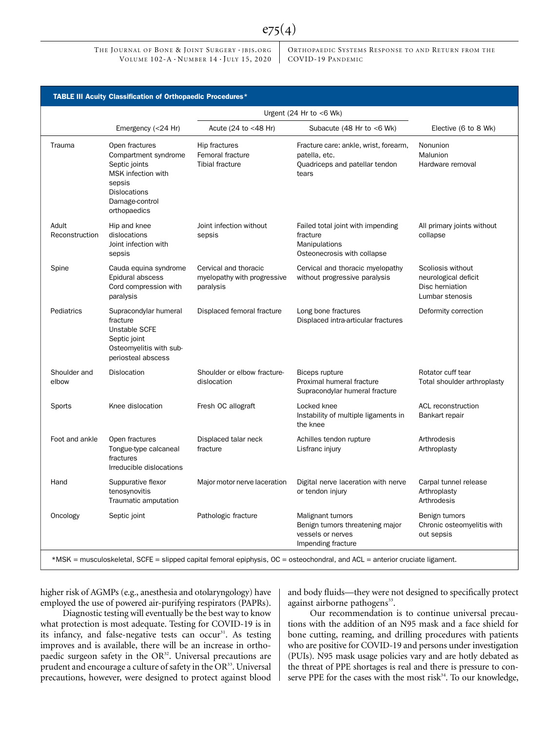THE JOURNAL OF BONE & JOINT SURGERY · JBJS.ORG VOLUME  $102-A \cdot N$ UMBER  $14 \cdot$  JULY 15, 2020

ORTHOPAEDIC SYSTEMS RESPONSE TO AND RETURN FROM THE COVID-19 PANDEMIC

|                         |                                                                                                                                                  |                                                                   | Urgent $(24 \text{ Hr to } < 6 \text{ Wk})$                                                                                              |                                                                                 |
|-------------------------|--------------------------------------------------------------------------------------------------------------------------------------------------|-------------------------------------------------------------------|------------------------------------------------------------------------------------------------------------------------------------------|---------------------------------------------------------------------------------|
|                         | Emergency (<24 Hr)                                                                                                                               | Acute (24 to <48 Hr)                                              | Subacute (48 Hr to <6 Wk)                                                                                                                | Elective (6 to 8 Wk)                                                            |
| Trauma                  | Open fractures<br>Compartment syndrome<br>Septic joints<br>MSK infection with<br>sepsis<br><b>Dislocations</b><br>Damage-control<br>orthopaedics | Hip fractures<br>Femoral fracture<br><b>Tibial fracture</b>       | Fracture care: ankle, wrist, forearm,<br>patella, etc.<br>Quadriceps and patellar tendon<br>tears                                        | Nonunion<br>Malunion<br>Hardware removal                                        |
| Adult<br>Reconstruction | Hip and knee<br>dislocations<br>Joint infection with<br>sepsis                                                                                   | Joint infection without<br>sepsis                                 | Failed total joint with impending<br>fracture<br>Manipulations<br>Osteonecrosis with collapse                                            | All primary joints without<br>collapse                                          |
| Spine                   | Cauda equina syndrome<br>Epidural abscess<br>Cord compression with<br>paralysis                                                                  | Cervical and thoracic<br>myelopathy with progressive<br>paralysis | Cervical and thoracic myelopathy<br>without progressive paralysis                                                                        | Scoliosis without<br>neurological deficit<br>Disc herniation<br>Lumbar stenosis |
| Pediatrics              | Supracondylar humeral<br>fracture<br>Unstable SCFE<br>Septic joint<br>Osteomyelitis with sub-<br>periosteal abscess                              | Displaced femoral fracture                                        | Long bone fractures<br>Displaced intra-articular fractures                                                                               | Deformity correction                                                            |
| Shoulder and<br>elbow   | Dislocation                                                                                                                                      | Shoulder or elbow fracture-<br>dislocation                        | Rotator cuff tear<br><b>Biceps rupture</b><br>Proximal humeral fracture<br>Total shoulder arthroplasty<br>Supracondylar humeral fracture |                                                                                 |
| Sports                  | Knee dislocation                                                                                                                                 | Fresh OC allograft                                                | Locked knee<br>ACL reconstruction<br>Instability of multiple ligaments in<br>Bankart repair<br>the knee                                  |                                                                                 |
| Foot and ankle          | Open fractures<br>Tongue-type calcaneal<br>fractures<br>Irreducible dislocations                                                                 | Displaced talar neck<br>fracture                                  | Achilles tendon rupture<br>Arthrodesis<br>Lisfranc injury<br>Arthroplasty                                                                |                                                                                 |
| Hand                    | Suppurative flexor<br>tenosynovitis<br>Traumatic amputation                                                                                      | Major motor nerve laceration                                      | Digital nerve laceration with nerve<br>Carpal tunnel release<br>or tendon injury<br>Arthroplasty<br>Arthrodesis                          |                                                                                 |
| Oncology                | Septic joint                                                                                                                                     | Pathologic fracture                                               | Malignant tumors<br>Benign tumors threatening major<br>vessels or nerves<br>Impending fracture                                           | Benign tumors<br>Chronic osteomyelitis with<br>out sepsis                       |

 $e75(4)$ 

higher risk of AGMPs (e.g., anesthesia and otolaryngology) have employed the use of powered air-purifying respirators (PAPRs).

Diagnostic testing will eventually be the best way to know what protection is most adequate. Testing for COVID-19 is in its infancy, and false-negative tests can occur<sup>31</sup>. As testing improves and is available, there will be an increase in orthopaedic surgeon safety in the  $OR<sup>32</sup>$ . Universal precautions are prudent and encourage a culture of safety in the  $OR<sup>33</sup>$ . Universal precautions, however, were designed to protect against blood and body fluids—they were not designed to specifically protect against airborne pathogens<sup>33</sup>.

Our recommendation is to continue universal precautions with the addition of an N95 mask and a face shield for bone cutting, reaming, and drilling procedures with patients who are positive for COVID-19 and persons under investigation (PUIs). N95 mask usage policies vary and are hotly debated as the threat of PPE shortages is real and there is pressure to conserve PPE for the cases with the most risk $34$ . To our knowledge,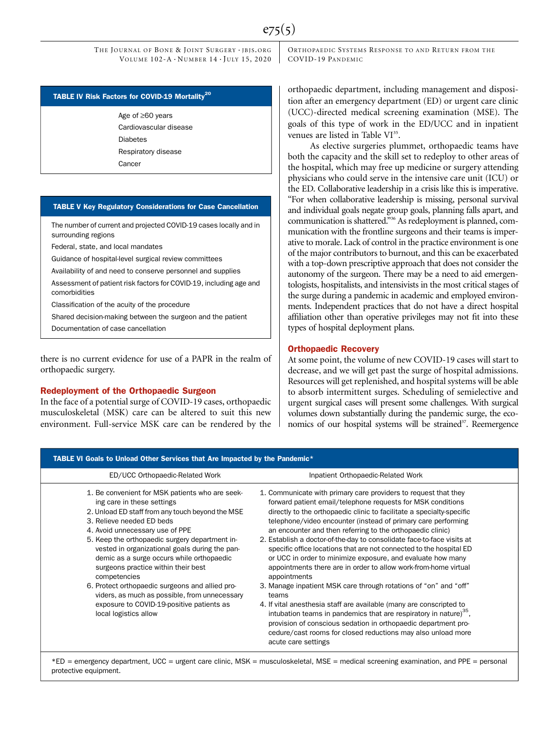#### TABLE IV Risk Factors for COVID-19 Mortality<sup>20</sup>

Age of  $\geq 60$  years Cardiovascular disease Diabetes Respiratory disease Cancer

#### TABLE V Key Regulatory Considerations for Case Cancellation

The number of current and projected COVID-19 cases locally and in surrounding regions

Federal, state, and local mandates

Guidance of hospital-level surgical review committees

Availability of and need to conserve personnel and supplies

Assessment of patient risk factors for COVID-19, including age and comorbidities

Classification of the acuity of the procedure

Shared decision-making between the surgeon and the patient

Documentation of case cancellation

there is no current evidence for use of a PAPR in the realm of orthopaedic surgery.

# Redeployment of the Orthopaedic Surgeon

In the face of a potential surge of COVID-19 cases, orthopaedic musculoskeletal (MSK) care can be altered to suit this new environment. Full-service MSK care can be rendered by the ORTHOPAEDIC SYSTEMS RESPONSE TO AND RETURN FROM THE COVID-19 PANDEMIC

orthopaedic department, including management and disposition after an emergency department (ED) or urgent care clinic (UCC)-directed medical screening examination (MSE). The goals of this type of work in the ED/UCC and in inpatient venues are listed in Table VI<sup>35</sup>.

As elective surgeries plummet, orthopaedic teams have both the capacity and the skill set to redeploy to other areas of the hospital, which may free up medicine or surgery attending physicians who could serve in the intensive care unit (ICU) or the ED. Collaborative leadership in a crisis like this is imperative. "For when collaborative leadership is missing, personal survival and individual goals negate group goals, planning falls apart, and communication is shattered." <sup>36</sup> As redeployment is planned, communication with the frontline surgeons and their teams is imperative to morale. Lack of control in the practice environment is one of the major contributors to burnout, and this can be exacerbated with a top-down prescriptive approach that does not consider the autonomy of the surgeon. There may be a need to aid emergentologists, hospitalists, and intensivists in the most critical stages of the surge during a pandemic in academic and employed environments. Independent practices that do not have a direct hospital affiliation other than operative privileges may not fit into these types of hospital deployment plans.

### Orthopaedic Recovery

At some point, the volume of new COVID-19 cases will start to decrease, and we will get past the surge of hospital admissions. Resources will get replenished, and hospital systems will be able to absorb intermittent surges. Scheduling of semielective and urgent surgical cases will present some challenges. With surgical volumes down substantially during the pandemic surge, the economics of our hospital systems will be strained<sup>37</sup>. Reemergence

| ED/UCC Orthopaedic-Related Work                                                                                                                                                                                                                                                                                                                                                                                                                                                                                                                                                     | Inpatient Orthopaedic-Related Work                                                                                                                                                                                                                                                                                                                                                                                                                                                                                                                                                                                                                                                                                                                                                                                                                                                                                                                                                                                                      |
|-------------------------------------------------------------------------------------------------------------------------------------------------------------------------------------------------------------------------------------------------------------------------------------------------------------------------------------------------------------------------------------------------------------------------------------------------------------------------------------------------------------------------------------------------------------------------------------|-----------------------------------------------------------------------------------------------------------------------------------------------------------------------------------------------------------------------------------------------------------------------------------------------------------------------------------------------------------------------------------------------------------------------------------------------------------------------------------------------------------------------------------------------------------------------------------------------------------------------------------------------------------------------------------------------------------------------------------------------------------------------------------------------------------------------------------------------------------------------------------------------------------------------------------------------------------------------------------------------------------------------------------------|
| 1. Be convenient for MSK patients who are seek-<br>ing care in these settings<br>2. Unload ED staff from any touch beyond the MSE<br>3. Relieve needed ED beds<br>4. Avoid unnecessary use of PPE<br>5. Keep the orthopaedic surgery department in-<br>vested in organizational goals during the pan-<br>demic as a surge occurs while orthopaedic<br>surgeons practice within their best<br>competencies<br>6. Protect orthopaedic surgeons and allied pro-<br>viders, as much as possible, from unnecessary<br>exposure to COVID-19-positive patients as<br>local logistics allow | 1. Communicate with primary care providers to request that they<br>forward patient email/telephone requests for MSK conditions<br>directly to the orthopaedic clinic to facilitate a specialty-specific<br>telephone/video encounter (instead of primary care performing<br>an encounter and then referring to the orthopaedic clinic)<br>2. Establish a doctor-of-the-day to consolidate face-to-face visits at<br>specific office locations that are not connected to the hospital ED<br>or UCC in order to minimize exposure, and evaluate how many<br>appointments there are in order to allow work-from-home virtual<br>appointments<br>3. Manage inpatient MSK care through rotations of "on" and "off"<br>teams<br>4. If vital anesthesia staff are available (many are conscripted to<br>intubation teams in pandemics that are respiratory in nature) <sup>35</sup> ,<br>provision of conscious sedation in orthopaedic department pro-<br>cedure/cast rooms for closed reductions may also unload more<br>acute care settings |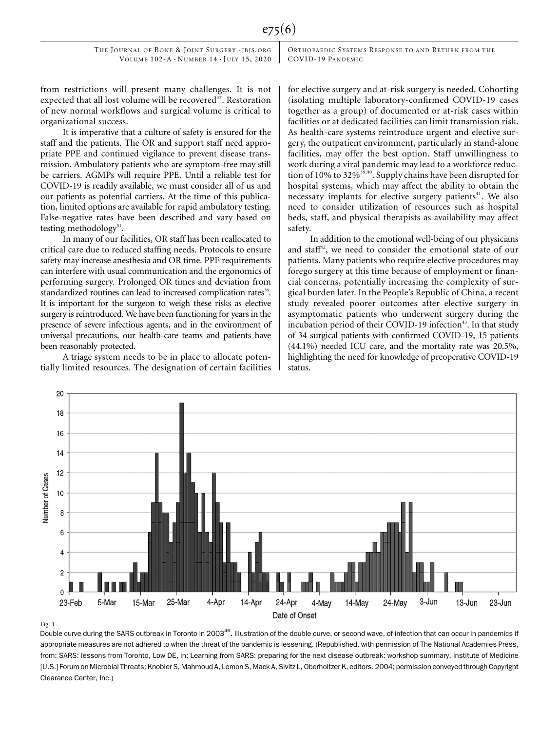ORTHOPAEDIC SYSTEMS RESPONSE TO AND RETURN FROM THE COVID-19 PANDEMIC

from restrictions will present many challenges. It is not expected that all lost volume will be recovered<sup>37</sup>. Restoration of new normal workflows and surgical volume is critical to organizational success.

It is imperative that a culture of safety is ensured for the staff and the patients. The OR and support staff need appropriate PPE and continued vigilance to prevent disease transmission. Ambulatory patients who are symptom-free may still be carriers. AGMPs will require PPE. Until a reliable test for COVID-19 is readily available, we must consider all of us and our patients as potential carriers. At the time of this publication, limited options are available for rapid ambulatory testing. False-negative rates have been described and vary based on testing methodology<sup>31</sup>.

In many of our facilities, OR staff has been reallocated to critical care due to reduced staffing needs. Protocols to ensure safety may increase anesthesia and OR time. PPE requirements can interfere with usual communication and the ergonomics of performing surgery. Prolonged OR times and deviation from standardized routines can lead to increased complication rates<sup>38</sup>. It is important for the surgeon to weigh these risks as elective surgery is reintroduced. We have been functioning for years in the presence of severe infectious agents, and in the environment of universal precautions, our health-care teams and patients have been reasonably protected.

A triage system needs to be in place to allocate potentially limited resources. The designation of certain facilities for elective surgery and at-risk surgery is needed. Cohorting (isolating multiple laboratory-confirmed COVID-19 cases together as a group) of documented or at-risk cases within facilities or at dedicated facilities can limit transmission risk. As health-care systems reintroduce urgent and elective surgery, the outpatient environment, particularly in stand-alone facilities, may offer the best option. Staff unwillingness to work during a viral pandemic may lead to a workforce reduction of 10% to 32%<sup>39,40</sup>. Supply chains have been disrupted for hospital systems, which may affect the ability to obtain the necessary implants for elective surgery patients<sup>41</sup>. We also need to consider utilization of resources such as hospital beds, staff, and physical therapists as availability may affect safety.

In addition to the emotional well-being of our physicians and staff<sup>42</sup>, we need to consider the emotional state of our patients. Many patients who require elective procedures may forego surgery at this time because of employment or financial concerns, potentially increasing the complexity of surgical burden later. In the People's Republic of China, a recent study revealed poorer outcomes after elective surgery in asymptomatic patients who underwent surgery during the incubation period of their COVID-19 infection<sup>43</sup>. In that study of 34 surgical patients with confirmed COVID-19, 15 patients (44.1%) needed ICU care, and the mortality rate was 20.5%, highlighting the need for knowledge of preoperative COVID-19 status.



#### Fig. 1

Double curve during the SARS outbreak in Toronto in 2003<sup>46</sup>. Illustration of the double curve, or second wave, of infection that can occur in pandemics if appropriate measures are not adhered to when the threat of the pandemic is lessening. (Republished, with permission of The National Academies Press, from: SARS: lessons from Toronto, Low DE, in: Learning from SARS: preparing for the next disease outbreak: workshop summary, Institute of Medicine [U.S.] Forum on Microbial Threats; Knobler S, Mahmoud A, Lemon S, Mack A, Sivitz L, Oberholtzer K, editors. 2004; permission conveyed through Copyright Clearance Center, Inc.)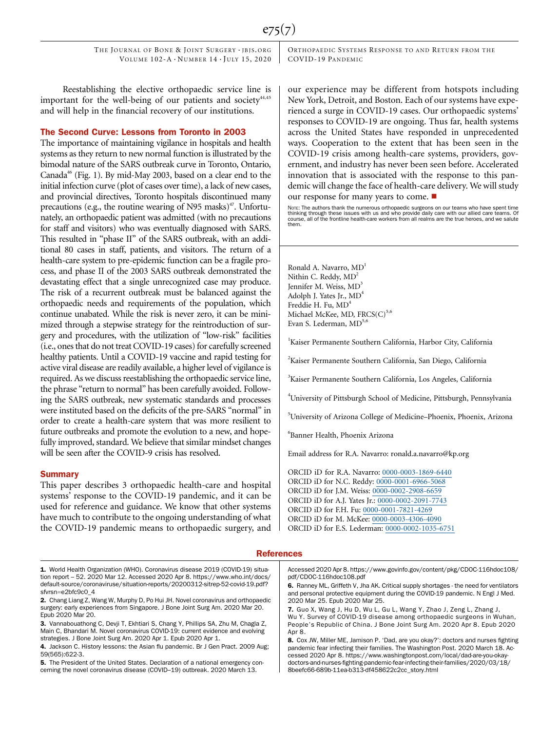e75(7)

THE JOURNAL OF BONE & JOINT SURGERY · JBJS.ORG VOLUME  $102-A \cdot N$ UMBER  $14 \cdot$ JULY 15, 2020

Reestablishing the elective orthopaedic service line is important for the well-being of our patients and society $44,45$ and will help in the financial recovery of our institutions.

#### The Second Curve: Lessons from Toronto in 2003

The importance of maintaining vigilance in hospitals and health systems as they return to new normal function is illustrated by the bimodal nature of the SARS outbreak curve in Toronto, Ontario, Canada<sup>46</sup> (Fig. 1). By mid-May 2003, based on a clear end to the initial infection curve (plot of cases over time), a lack of new cases, and provincial directives, Toronto hospitals discontinued many precautions (e.g., the routine wearing of N95 masks) $47$ . Unfortunately, an orthopaedic patient was admitted (with no precautions for staff and visitors) who was eventually diagnosed with SARS. This resulted in "phase II" of the SARS outbreak, with an additional 80 cases in staff, patients, and visitors. The return of a health-care system to pre-epidemic function can be a fragile process, and phase II of the 2003 SARS outbreak demonstrated the devastating effect that a single unrecognized case may produce. The risk of a recurrent outbreak must be balanced against the orthopaedic needs and requirements of the population, which continue unabated. While the risk is never zero, it can be minimized through a stepwise strategy for the reintroduction of surgery and procedures, with the utilization of "low-risk" facilities (i.e., ones that do not treat COVID-19 cases) for carefully screened healthy patients. Until a COVID-19 vaccine and rapid testing for active viral disease are readily available, a higher level of vigilance is required. As we discuss reestablishing the orthopaedic service line, the phrase "return to normal" has been carefully avoided. Following the SARS outbreak, new systematic standards and processes were instituted based on the deficits of the pre-SARS "normal" in order to create a health-care system that was more resilient to future outbreaks and promote the evolution to a new, and hopefully improved, standard. We believe that similar mindset changes will be seen after the COVID-9 crisis has resolved.

#### **Summary**

This paper describes 3 orthopaedic health-care and hospital systems' response to the COVID-19 pandemic, and it can be used for reference and guidance. We know that other systems have much to contribute to the ongoing understanding of what the COVID-19 pandemic means to orthopaedic surgery, and ORTHOPAEDIC SYSTEMS RESPONSE TO AND RETURN FROM THE COVID-19 PANDEMIC

our experience may be different from hotspots including New York, Detroit, and Boston. Each of our systems have experienced a surge in COVID-19 cases. Our orthopaedic systems' responses to COVID-19 are ongoing. Thus far, health systems across the United States have responded in unprecedented ways. Cooperation to the extent that has been seen in the COVID-19 crisis among health-care systems, providers, government, and industry has never been seen before. Accelerated innovation that is associated with the response to this pandemic will change the face of health-care delivery. We will study our response for many years to come.  $\blacksquare$ 

Nore: The authors thank the numerous orthopaedic surgeons on our teams who have spent time<br>thinking through these issues with us and who provide daily care with our allied care teams. Ot<br>course, all of the frontline health

Ronald A. Navarro,  $MD<sup>1</sup>$ Nithin C. Reddy,  $MD<sup>2</sup>$ Jennifer M. Weiss, MD<sup>3</sup> Adolph J. Yates Jr.,  $MD<sup>4</sup>$ Freddie H. Fu, MD<sup>4</sup> Michael McKee, MD,  $FRCS(C)^{5,6}$ Evan S. Lederman,  $MD^{5,6}$ 

<sup>1</sup>Kaiser Permanente Southern California, Harbor City, California

2 Kaiser Permanente Southern California, San Diego, California

3 Kaiser Permanente Southern California, Los Angeles, California

4 University of Pittsburgh School of Medicine, Pittsburgh, Pennsylvania

5 University of Arizona College of Medicine–Phoenix, Phoenix, Arizona

6 Banner Health, Phoenix Arizona

Email address for R.A. Navarro: [ronald.a.navarro@kp.org](mailto:ronald.a.navarro@kp.org)

ORCID iD for R.A. Navarro: [0000-0003-1869-6440](http://orcid.org/0000-0003-1869-6440) ORCID iD for N.C. Reddy: [0000-0001-6966-5068](http://orcid.org/0000-0001-6966-5068) ORCID iD for J.M. Weiss: [0000-0002-2908-6659](http://orcid.org/0000-0002-2908-6659) ORCID iD for A.J. Yates Jr.: [0000-0002-2091-7743](http://orcid.org/0000-0002-2091-7743) ORCID iD for F.H. Fu: [0000-0001-7821-4269](http://orcid.org/0000-0001-7821-4269) ORCID iD for M. McKee: [0000-0003-4306-4090](http://orcid.org/0000-0003-4306-4090) ORCID iD for E.S. Lederman: [0000-0002-1035-6751](http://orcid.org/0000-0002-1035-6751)

#### **References**

1. World Health Organization (WHO). Coronavirus disease 2019 (COVID-19) situation report – 52. 2020 Mar 12. Accessed 2020 Apr 8. [https://www.who.int/docs/](https://www.who.int/docs/default-source/coronaviruse/situation-reports/20200312-sitrep-52-covid-19.pdf?sfvrsn=e2bfc9c0_4) [default-source/coronaviruse/situation-reports/20200312-sitrep-52-covid-19.pdf?](https://www.who.int/docs/default-source/coronaviruse/situation-reports/20200312-sitrep-52-covid-19.pdf?sfvrsn=e2bfc9c0_4) [sfvrsn](https://www.who.int/docs/default-source/coronaviruse/situation-reports/20200312-sitrep-52-covid-19.pdf?sfvrsn=e2bfc9c0_4)=[e2bfc9c0\\_4](https://www.who.int/docs/default-source/coronaviruse/situation-reports/20200312-sitrep-52-covid-19.pdf?sfvrsn=e2bfc9c0_4)

5. The President of the United States. Declaration of a national emergency concerning the novel coronavirus disease (COVID–19) outbreak. 2020 March 13.

Accessed 2020 Apr 8. [https://www.govinfo.gov/content/pkg/CDOC-116hdoc108/](https://www.govinfo.gov/content/pkg/CDOC-116hdoc108/pdf/CDOC-116hdoc108.pdf) [pdf/CDOC-116hdoc108.pdf](https://www.govinfo.gov/content/pkg/CDOC-116hdoc108/pdf/CDOC-116hdoc108.pdf)

<sup>2.</sup> Chang Liang Z, Wang W, Murphy D, Po Hui JH. Novel coronavirus and orthopaedic surgery: early experiences from Singapore. J Bone Joint Surg Am. 2020 Mar 20. Epub 2020 Mar 20.

<sup>3.</sup> Vannabouathong C, Devji T, Ekhtiari S, Chang Y, Phillips SA, Zhu M, Chagla Z, Main C, Bhandari M. Novel coronavirus COVID-19: current evidence and evolving strategies. J Bone Joint Surg Am. 2020 Apr 1. Epub 2020 Apr 1.

<sup>4.</sup> Jackson C. History lessons: the Asian flu pandemic. Br J Gen Pract. 2009 Aug; 59(565):622-3.

<sup>6.</sup> Ranney ML, Griffeth V, Jha AK. Critical supply shortages - the need for ventilators and personal protective equipment during the COVID-19 pandemic. N Engl J Med. 2020 Mar 25. Epub 2020 Mar 25.

<sup>7.</sup> Guo X, Wang J, Hu D, Wu L, Gu L, Wang Y, Zhao J, Zeng L, Zhang J, Wu Y. Survey of COVID-19 disease among orthopaedic surgeons in Wuhan, People's Republic of China. J Bone Joint Surg Am. 2020 Apr 8. Epub 2020 Apr 8.

<sup>8.</sup> Cox JW, Miller ME, Jamison P. 'Dad, are you okay?': doctors and nurses fighting pandemic fear infecting their families. The Washington Post. 2020 March 18. Accessed 2020 Apr 8. [https://www.washingtonpost.com/local/dad-are-you-okay](https://www.washingtonpost.com/local/dad-are-you-okay-doctors-and-nurses-fighting-pandemic-fear-infecting-their-families/2020/03/18/8beefc66-689b-11ea-b313-df458622c2cc_story.html)doctors-and-nurses-fi[ghting-pandemic-fear-infecting-their-families/2020/03/18/](https://www.washingtonpost.com/local/dad-are-you-okay-doctors-and-nurses-fighting-pandemic-fear-infecting-their-families/2020/03/18/8beefc66-689b-11ea-b313-df458622c2cc_story.html) [8beefc66-689b-11ea-b313-df458622c2cc\\_story.html](https://www.washingtonpost.com/local/dad-are-you-okay-doctors-and-nurses-fighting-pandemic-fear-infecting-their-families/2020/03/18/8beefc66-689b-11ea-b313-df458622c2cc_story.html)